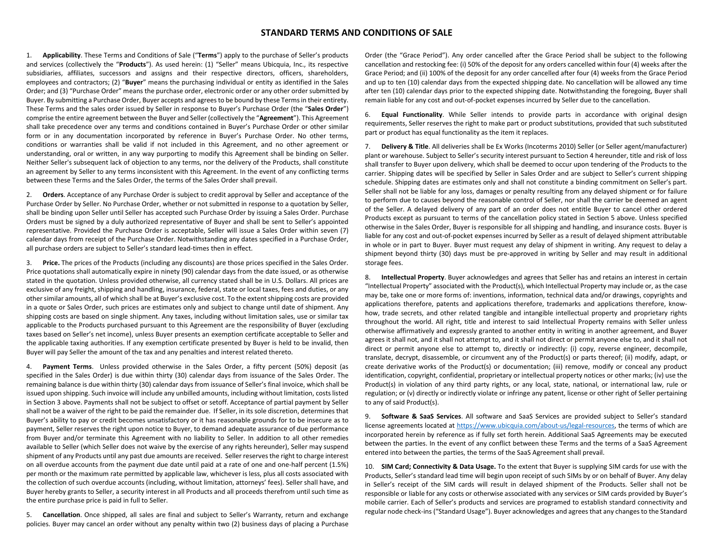## **STANDARD TERMS AND CONDITIONS OF SALE**

1. **Applicability**. These Terms and Conditions of Sale ("**Terms**") apply to the purchase of Seller's products and services (collectively the "**Products**"). As used herein: (1) "Seller" means Ubicquia, Inc., its respective subsidiaries, affiliates, successors and assigns and their respective directors, officers, shareholders, employees and contractors; (2) "**Buyer**" means the purchasing individual or entity as identified in the Sales Order; and (3) "Purchase Order" means the purchase order, electronic order or any other order submitted by Buyer. By submitting a Purchase Order, Buyer accepts and agrees to be bound by these Terms in their entirety. These Terms and the sales order issued by Seller in response to Buyer's Purchase Order (the "**Sales Order**") comprise the entire agreement between the Buyer and Seller (collectively the "**Agreement**"). This Agreement shall take precedence over any terms and conditions contained in Buyer's Purchase Order or other similar form or in any documentation incorporated by reference in Buyer's Purchase Order. No other terms, conditions or warranties shall be valid if not included in this Agreement, and no other agreement or understanding, oral or written, in any way purporting to modify this Agreement shall be binding on Seller. Neither Seller's subsequent lack of objection to any terms, nor the delivery of the Products, shall constitute an agreement by Seller to any terms inconsistent with this Agreement. In the event of any conflicting terms between these Terms and the Sales Order, the terms of the Sales Order shall prevail.

2. **Orders**. Acceptance of any Purchase Order is subject to credit approval by Seller and acceptance of the Purchase Order by Seller. No Purchase Order, whether or not submitted in response to a quotation by Seller, shall be binding upon Seller until Seller has accepted such Purchase Order by issuing a Sales Order. Purchase Orders must be signed by a duly authorized representative of Buyer and shall be sent to Seller's appointed representative. Provided the Purchase Order is acceptable, Seller will issue a Sales Order within seven (7) calendar days from receipt of the Purchase Order. Notwithstanding any dates specified in a Purchase Order, all purchase orders are subject to Seller's standard lead-times then in effect.

3. **Price.** The prices of the Products (including any discounts) are those prices specified in the Sales Order. Price quotations shall automatically expire in ninety (90) calendar days from the date issued, or as otherwise stated in the quotation. Unless provided otherwise, all currency stated shall be in U.S. Dollars. All prices are exclusive of any freight, shipping and handling, insurance, federal, state or local taxes, fees and duties, or any other similar amounts, all of which shall be at Buyer's exclusive cost. To the extent shipping costs are provided in a quote or Sales Order, such prices are estimates only and subject to change until date of shipment. Any shipping costs are based on single shipment. Any taxes, including without limitation sales, use or similar tax applicable to the Products purchased pursuant to this Agreement are the responsibility of Buyer (excluding taxes based on Seller's net income), unless Buyer presents an exemption certificate acceptable to Seller and the applicable taxing authorities. If any exemption certificate presented by Buyer is held to be invalid, then Buyer will pay Seller the amount of the tax and any penalties and interest related thereto.

4. **Payment Terms**. Unless provided otherwise in the Sales Order, a fifty percent (50%) deposit (as specified in the Sales Order) is due within thirty (30) calendar days from issuance of the Sales Order. The remaining balance is due within thirty (30) calendar days from issuance of Seller's final invoice, which shall be issued upon shipping. Such invoice will include any unbilled amounts, including without limitation, costs listed in Section 3 above. Payments shall not be subject to offset or setoff. Acceptance of partial payment by Seller shall not be a waiver of the right to be paid the remainder due. If Seller, in its sole discretion, determines that Buyer's ability to pay or credit becomes unsatisfactory or it has reasonable grounds for to be insecure as to payment, Seller reserves the right upon notice to Buyer, to demand adequate assurance of due performance from Buyer and/or terminate this Agreement with no liability to Seller. In addition to all other remedies available to Seller (which Seller does not waive by the exercise of any rights hereunder), Seller may suspend shipment of any Products until any past due amounts are received. Seller reserves the right to charge interest on all overdue accounts from the payment due date until paid at a rate of one and one-half percent (1.5%) per month or the maximum rate permitted by applicable law, whichever is less, plus all costs associated with the collection of such overdue accounts (including, without limitation, attorneys' fees). Seller shall have, and Buyer hereby grants to Seller, a security interest in all Products and all proceeds therefrom until such time as the entire purchase price is paid in full to Seller.

5. **Cancellation**. Once shipped, all sales are final and subject to Seller's Warranty, return and exchange policies. Buyer may cancel an order without any penalty within two (2) business days of placing a Purchase Order (the "Grace Period"). Any order cancelled after the Grace Period shall be subject to the following cancellation and restocking fee: (i) 50% of the deposit for any orders cancelled within four (4) weeks after the Grace Period; and (ii) 100% of the deposit for any order cancelled after four (4) weeks from the Grace Period and up to ten (10) calendar days from the expected shipping date. No cancellation will be allowed any time after ten (10) calendar days prior to the expected shipping date. Notwithstanding the foregoing, Buyer shall remain liable for any cost and out-of-pocket expenses incurred by Seller due to the cancellation.

6. **Equal Functionality**. While Seller intends to provide parts in accordance with original design requirements, Seller reserves the right to make part or product substitutions, provided that such substituted part or product has equal functionality as the item it replaces.

7. **Delivery & Title**. All deliveries shall be Ex Works (Incoterms 2010) Seller (or Seller agent/manufacturer) plant or warehouse. Subject to Seller's security interest pursuant to Section 4 hereunder, title and risk of loss shall transfer to Buyer upon delivery, which shall be deemed to occur upon tendering of the Products to the carrier. Shipping dates will be specified by Seller in Sales Order and are subject to Seller's current shipping schedule. Shipping dates are estimates only and shall not constitute a binding commitment on Seller's part. Seller shall not be liable for any loss, damages or penalty resulting from any delayed shipment or for failure to perform due to causes beyond the reasonable control of Seller, nor shall the carrier be deemed an agent of the Seller. A delayed delivery of any part of an order does not entitle Buyer to cancel other ordered Products except as pursuant to terms of the cancellation policy stated in Section 5 above. Unless specified otherwise in the Sales Order, Buyer is responsible for all shipping and handling, and insurance costs. Buyer is liable for any cost and out-of-pocket expenses incurred by Seller as a result of delayed shipment attributable in whole or in part to Buyer. Buyer must request any delay of shipment in writing. Any request to delay a shipment beyond thirty (30) days must be pre-approved in writing by Seller and may result in additional storage fees.

8. **Intellectual Property**. Buyer acknowledges and agrees that Seller has and retains an interest in certain "Intellectual Property" associated with the Product(s), which Intellectual Property may include or, as the case may be, take one or more forms of: inventions, information, technical data and/or drawings, copyrights and applications therefore, patents and applications therefore, trademarks and applications therefore, knowhow, trade secrets, and other related tangible and intangible intellectual property and proprietary rights throughout the world. All right, title and interest to said Intellectual Property remains with Seller unless otherwise affirmatively and expressly granted to another entity in writing in another agreement, and Buyer agrees it shall not, and it shall not attempt to, and it shall not direct or permit anyone else to, and it shall not direct or permit anyone else to attempt to, directly or indirectly: (i) copy, reverse engineer, decompile, translate, decrypt, disassemble, or circumvent any of the Product(s) or parts thereof; (ii) modify, adapt, or create derivative works of the Product(s) or documentation; (iii) remove, modify or conceal any product identification, copyright, confidential, proprietary or intellectual property notices or other marks; (iv) use the Product(s) in violation of any third party rights, or any local, state, national, or international law, rule or regulation; or (v) directly or indirectly violate or infringe any patent, license or other right of Seller pertaining to any of said Product(s).

9. **Software & SaaS Services**. All software and SaaS Services are provided subject to Seller's standard license agreements located at [https://www.ubicquia.com/about-us/legal-resources,](https://www.ubicquia.com/about-us/legal-resources) the terms of which are incorporated herein by reference as if fully set forth herein. Additional SaaS Agreements may be executed between the parties. In the event of any conflict between these Terms and the terms of a SaaS Agreement entered into between the parties, the terms of the SaaS Agreement shall prevail.

10. **SIM Card; Connectivity & Data Usage.** To the extent that Buyer is supplying SIM cards for use with the Products, Seller's standard lead time will begin upon receipt of such SIMs by or on behalf of Buyer. Any delay in Seller's receipt of the SIM cards will result in delayed shipment of the Products. Seller shall not be responsible or liable for any costs or otherwise associated with any services or SIM cards provided by Buyer's mobile carrier. Each of Seller's products and services are programed to establish standard connectivity and regular node check-ins ("Standard Usage"). Buyer acknowledges and agreesthat any changes to the Standard